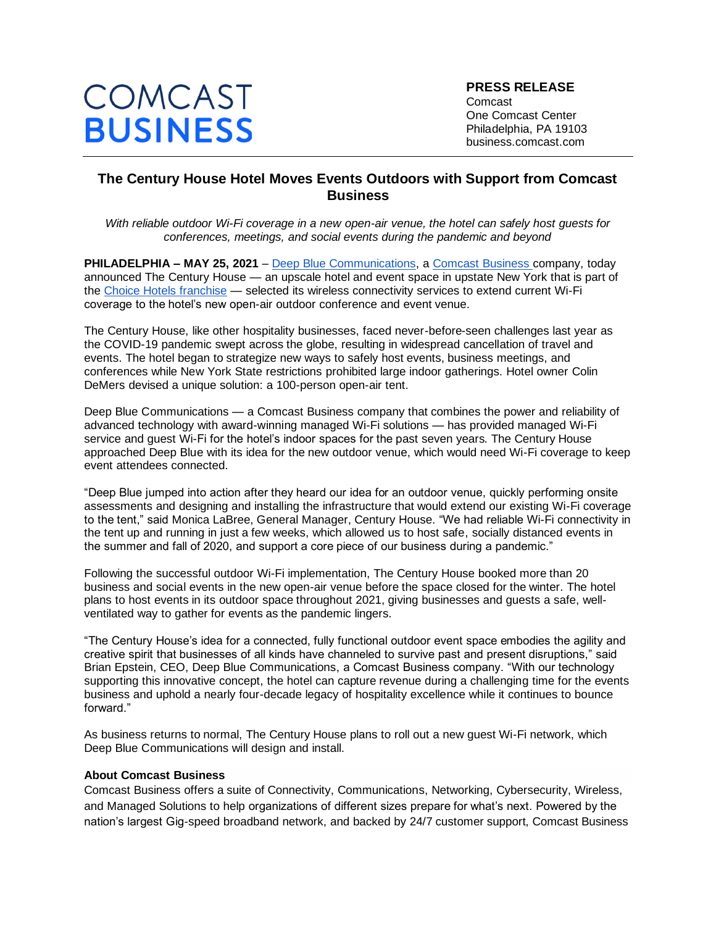# COMCAST **BUSINESS**

**PRESS RELEASE** Comcast One Comcast Center Philadelphia, PA 19103 business.comcast.com

## **The Century House Hotel Moves Events Outdoors with Support from Comcast Business**

*With reliable outdoor Wi-Fi coverage in a new open-air venue, the hotel can safely host guests for conferences, meetings, and social events during the pandemic and beyond*

**PHILADELPHIA [–](https://business.comcast.com/) MAY 25, 2021** – [Deep Blue Communications](https://www.deepbluecommunications.com/)[, a Comcast Business company, t](https://business.comcast.com/)oday announced The Century House — an upscale hotel and event space in upstate New York that is part of th[e Choice Hotels franchise](https://business.comcast.com/about-us/press-releases/2019/comcast-business-and-choice-hotels-international-partner-on-new-brand-standard) — selected its wireless connectivity services to extend current Wi-Fi coverage to the hotel's new open-air outdoor conference and event venue.

The Century House, like other hospitality businesses, faced never-before-seen challenges last year as the COVID-19 pandemic swept across the globe, resulting in widespread cancellation of travel and events. The hotel began to strategize new ways to safely host events, business meetings, and conferences while New York State restrictions prohibited large indoor gatherings. Hotel owner Colin DeMers devised a unique solution: a 100-person open-air tent.

Deep Blue Communications — a Comcast Business company that combines the power and reliability of advanced technology with award-winning managed Wi-Fi solutions — has provided managed Wi-Fi service and guest Wi-Fi for the hotel's indoor spaces for the past seven years. The Century House approached Deep Blue with its idea for the new outdoor venue, which would need Wi-Fi coverage to keep event attendees connected.

"Deep Blue jumped into action after they heard our idea for an outdoor venue, quickly performing onsite assessments and designing and installing the infrastructure that would extend our existing Wi-Fi coverage to the tent," said Monica LaBree, General Manager, Century House. "We had reliable Wi-Fi connectivity in the tent up and running in just a few weeks, which allowed us to host safe, socially distanced events in the summer and fall of 2020, and support a core piece of our business during a pandemic."

Following the successful outdoor Wi-Fi implementation, The Century House booked more than 20 business and social events in the new open-air venue before the space closed for the winter. The hotel plans to host events in its outdoor space throughout 2021, giving businesses and guests a safe, wellventilated way to gather for events as the pandemic lingers.

"The Century House's idea for a connected, fully functional outdoor event space embodies the agility and creative spirit that businesses of all kinds have channeled to survive past and present disruptions," said Brian Epstein, CEO, Deep Blue Communications, a Comcast Business company. "With our technology supporting this innovative concept, the hotel can capture revenue during a challenging time for the events business and uphold a nearly four-decade legacy of hospitality excellence while it continues to bounce forward."

As business returns to normal, The Century House plans to roll out a new guest Wi-Fi network, which Deep Blue Communications will design and install.

#### **About Comcast Business**

Comcast Business offers a suite of Connectivity, Communications, Networking, Cybersecurity, Wireless, and Managed Solutions to help organizations of different sizes prepare for what's next. Powered by the nation's largest Gig-speed broadband network, and backed by 24/7 customer support, Comcast Business